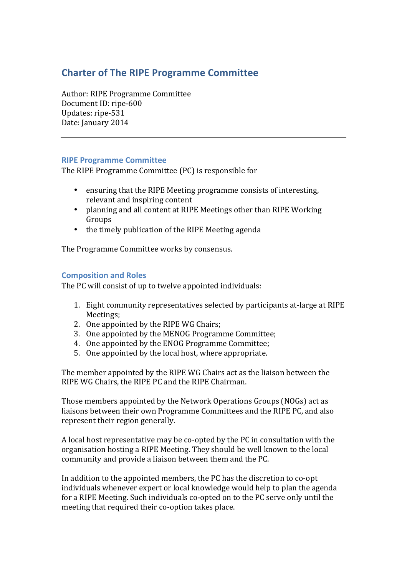# **Charter of The RIPE Programme Committee**

Author: RIPE Programme Committee Document ID: ripe-600 Updates: ripe-531 Date: January 2014

### **RIPE Programme Committee**

The RIPE Programme Committee (PC) is responsible for

- ensuring that the RIPE Meeting programme consists of interesting, relevant and inspiring content
- planning and all content at RIPE Meetings other than RIPE Working Groups
- $\bullet$  the timely publication of the RIPE Meeting agenda

The Programme Committee works by consensus.

### **Composition and Roles**

The PC will consist of up to twelve appointed individuals:

- 1. Eight community representatives selected by participants at-large at RIPE Meetings;
- 2. One appointed by the RIPE WG Chairs;
- 3. One appointed by the MENOG Programme Committee:
- 4. One appointed by the ENOG Programme Committee;
- 5. One appointed by the local host, where appropriate.

The member appointed by the RIPE WG Chairs act as the liaison between the RIPE WG Chairs, the RIPE PC and the RIPE Chairman.

Those members appointed by the Network Operations Groups (NOGs) act as liaisons between their own Programme Committees and the RIPE PC, and also represent their region generally.

A local host representative may be co-opted by the PC in consultation with the organisation hosting a RIPE Meeting. They should be well known to the local community and provide a liaison between them and the PC.

In addition to the appointed members, the PC has the discretion to co-opt individuals whenever expert or local knowledge would help to plan the agenda for a RIPE Meeting. Such individuals co-opted on to the PC serve only until the meeting that required their co-option takes place.